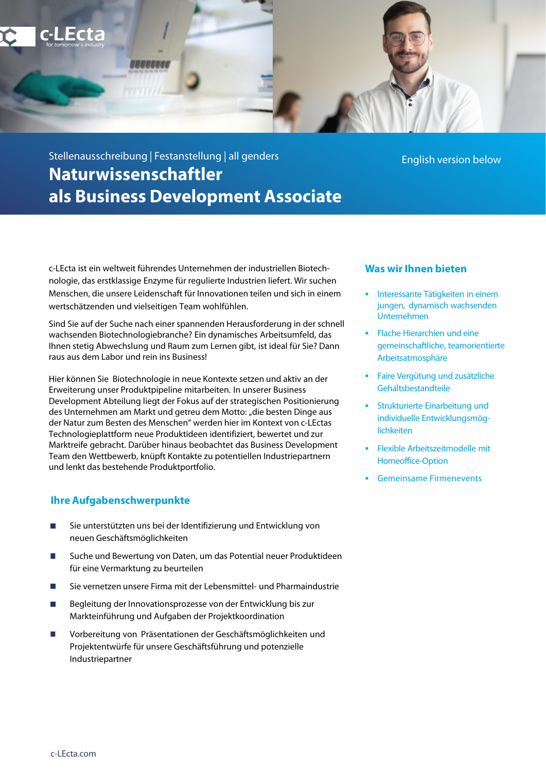

# Stellenausschreibung | Festanstellung | all genders **Naturwissenschaftler als Business Development Associate**

c-LEcta ist ein weltweit führendes Unternehmen der industriellen Biotechnologie, das erstklassige Enzyme für regulierte Industrien liefert. Wir suchen Menschen, die unsere Leidenschaft für Innovationen teilen und sich in einem wertschätzenden und vielseitigen Team wohlfühlen.

Sind Sie auf der Suche nach einer spannenden Herausforderung in der schnell wachsenden Biotechnologiebranche? Ein dynamisches Arbeitsumfeld, das Ihnen stetig Abwechslung und Raum zum Lernen gibt, ist ideal für Sie? Dann raus aus dem Labor und rein ins Business!

Hier können Sie Biotechnologie in neue Kontexte setzen und aktiv an der Erweiterung unser Produktpipeline mitarbeiten. In unserer Business Development Abteilung liegt der Fokus auf der strategischen Positionierung des Unternehmen am Markt und getreu dem Motto: "die besten Dinge aus der Natur zum Besten des Menschen" werden hier im Kontext von c-LEctas Technologieplattform neue Produktideen identifiziert, bewertet und zur Marktreife gebracht. Darüber hinaus beobachtet das Business Development Team den Wettbewerb, knüpft Kontakte zu potentiellen Industriepartnern und lenkt das bestehende Produktportfolio.

# **Ihre Aufgabenschwerpunkte**

- Sie unterstützten uns bei der Identifizierung und Entwicklung von  $\Box$ neuen Geschäftsmöglichkeiten
- Suche und Bewertung von Daten, um das Potential neuer Produktideen für eine Vermarktung zu beurteilen
- Sie vernetzen unsere Firma mit der Lebensmittel- und Pharmaindustrie
- Begleitung der Innovationsprozesse von der Entwicklung bis zur Markteinführung und Aufgaben der Projektkoordination
- Vorbereitung von Präsentationen der Geschäftsmöglichkeiten und Projektentwürfe für unsere Geschäftsführung und potenzielle Industriepartner

English version below

- **Was wir Ihnen bieten**
- **Interessante Tätigkeiten in einem** jungen, dynamisch wachsenden Unternehmen
- Flache Hierarchien und eine gemeinschaftliche, teamorientierte Arbeitsatmosphäre
- Faire Vergütung und zusätzliche Gehaltsbestandteile
- **Strukturierte Einarbeitung und** individuelle Entwicklungsmöglichkeiten
- Flexible Arbeitszeitmodelle mit Homeoffice-Option
- **Gemeinsame Firmenevents**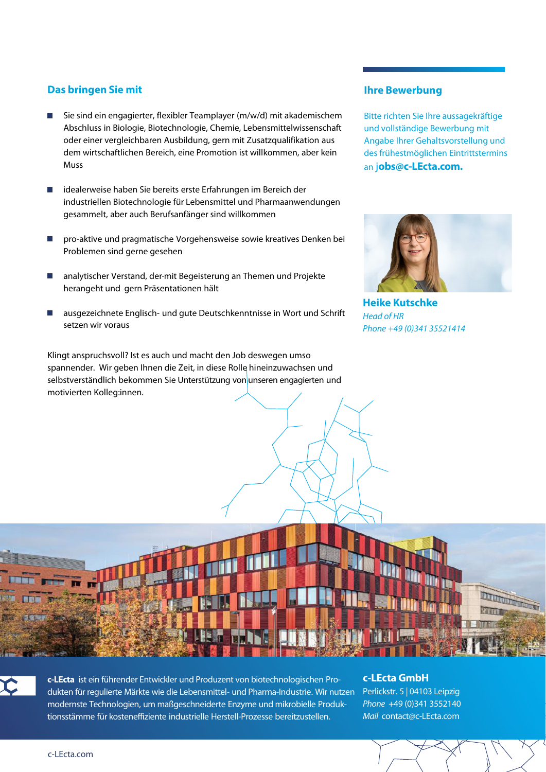# **Das bringen Sie mit**

- Sie sind ein engagierter, flexibler Teamplayer (m/w/d) mit akademischem Abschluss in Biologie, Biotechnologie, Chemie, Lebensmittelwissenschaft oder einer vergleichbaren Ausbildung, gern mit Zusatzqualifikation aus dem wirtschaftlichen Bereich, eine Promotion ist willkommen, aber kein Muss
- idealerweise haben Sie bereits erste Erfahrungen im Bereich der п industriellen Biotechnologie für Lebensmittel und Pharmaanwendungen gesammelt, aber auch Berufsanfänger sind willkommen
- pro-aktive und pragmatische Vorgehensweise sowie kreatives Denken bei Problemen sind gerne gesehen
- analytischer Verstand, der mit Begeisterung an Themen und Projekte herangeht und gern Präsentationen hält
- ausgezeichnete Englisch- und gute Deutschkenntnisse in Wort und Schrift setzen wir voraus

Klingt anspruchsvoll? Ist es auch und macht den Job deswegen umso spannender. Wir geben Ihnen die Zeit, in diese Rolle hineinzuwachsen und selbstverständlich bekommen Sie Unterstützung von unseren engagierten und motivierten Kolleg:innen.

### **Ihre Bewerbung**

Bitte richten Sie Ihre aussagekräftige und vollständige Bewerbung mit Angabe Ihrer Gehaltsvorstellung und des frühestmöglichen Eintrittstermins an j**obs@c-LEcta.com.**



**Heike Kutschke** *Head of HR Phone +49 (0)341 35521414*





**c-LEcta** ist ein führender Entwickler und Produzent von biotechnologischen Produkten für regulierte Märkte wie die Lebensmittel- und Pharma-Industrie. Wir nutzen modernste Technologien, um maßgeschneiderte Enzyme und mikrobielle Produktionsstämme für kosteneffiziente industrielle Herstell-Prozesse bereitzustellen.

### **c-LEcta GmbH**

Perlickstr. 5 | 04103 Leipzig *Phone* +49 (0)341 3552140 *Mail* contact@c-LEcta.com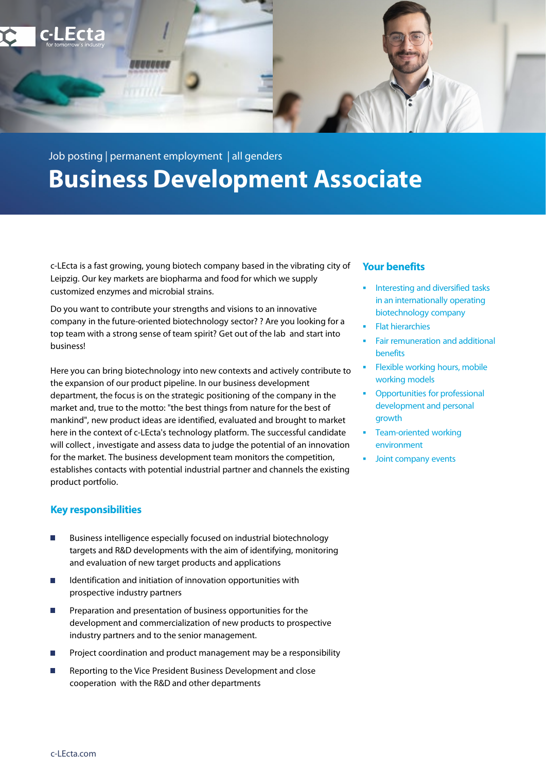

# Job posting | permanent employment | all genders **Business Development Associate**

c-LEcta is a fast growing, young biotech company based in the vibrating city of Leipzig. Our key markets are biopharma and food for which we supply customized enzymes and microbial strains.

Do you want to contribute your strengths and visions to an innovative company in the future-oriented biotechnology sector? ? Are you looking for a top team with a strong sense of team spirit? Get out of the lab and start into business!

Here you can bring biotechnology into new contexts and actively contribute to the expansion of our product pipeline. In our business development department, the focus is on the strategic positioning of the company in the market and, true to the motto: "the best things from nature for the best of mankind", new product ideas are identified, evaluated and brought to market here in the context of c-LEcta's technology platform. The successful candidate will collect , investigate and assess data to judge the potential of an innovation for the market. The business development team monitors the competition, establishes contacts with potential industrial partner and channels the existing product portfolio.

# **Key responsibilities**

- Business intelligence especially focused on industrial biotechnology targets and R&D developments with the aim of identifying, monitoring and evaluation of new target products and applications
- $\overline{\phantom{a}}$ Identification and initiation of innovation opportunities with prospective industry partners
- Preparation and presentation of business opportunities for the  $\overline{\phantom{a}}$ development and commercialization of new products to prospective industry partners and to the senior management.
- Project coordination and product management may be a responsibility
- Reporting to the Vice President Business Development and close cooperation with the R&D and other departments

# **Your benefits**

- Interesting and diversified tasks in an internationally operating biotechnology company
- Flat hierarchies
- Fair remuneration and additional benefits
- Flexible working hours, mobile working models
- Opportunities for professional development and personal growth
- Team-oriented working environment
- Joint company events